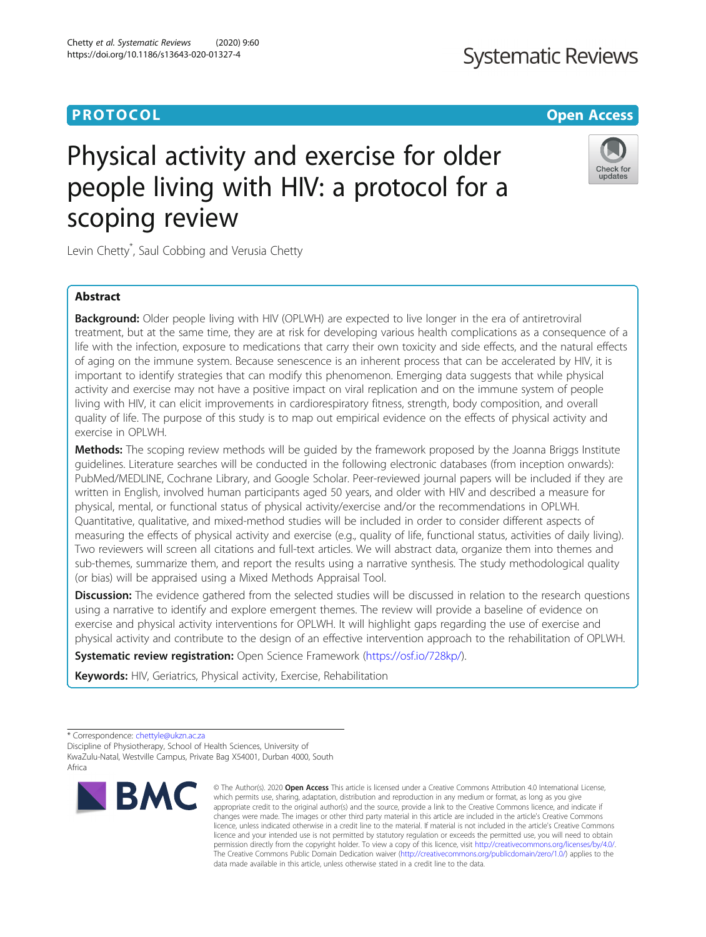# **PROTOCOL CONSUMING THE OPEN ACCESS**

# Physical activity and exercise for older people living with HIV: a protocol for a scoping review

Levin Chetty\* , Saul Cobbing and Verusia Chetty

# Abstract

**Background:** Older people living with HIV (OPLWH) are expected to live longer in the era of antiretroviral treatment, but at the same time, they are at risk for developing various health complications as a consequence of a life with the infection, exposure to medications that carry their own toxicity and side effects, and the natural effects of aging on the immune system. Because senescence is an inherent process that can be accelerated by HIV, it is important to identify strategies that can modify this phenomenon. Emerging data suggests that while physical activity and exercise may not have a positive impact on viral replication and on the immune system of people living with HIV, it can elicit improvements in cardiorespiratory fitness, strength, body composition, and overall quality of life. The purpose of this study is to map out empirical evidence on the effects of physical activity and exercise in OPLWH.

**Methods:** The scoping review methods will be guided by the framework proposed by the Joanna Briggs Institute guidelines. Literature searches will be conducted in the following electronic databases (from inception onwards): PubMed/MEDLINE, Cochrane Library, and Google Scholar. Peer-reviewed journal papers will be included if they are written in English, involved human participants aged 50 years, and older with HIV and described a measure for physical, mental, or functional status of physical activity/exercise and/or the recommendations in OPLWH. Quantitative, qualitative, and mixed-method studies will be included in order to consider different aspects of measuring the effects of physical activity and exercise (e.g., quality of life, functional status, activities of daily living). Two reviewers will screen all citations and full-text articles. We will abstract data, organize them into themes and sub-themes, summarize them, and report the results using a narrative synthesis. The study methodological quality (or bias) will be appraised using a Mixed Methods Appraisal Tool.

Discussion: The evidence gathered from the selected studies will be discussed in relation to the research questions using a narrative to identify and explore emergent themes. The review will provide a baseline of evidence on exercise and physical activity interventions for OPLWH. It will highlight gaps regarding the use of exercise and physical activity and contribute to the design of an effective intervention approach to the rehabilitation of OPLWH.

Systematic review registration: Open Science Framework (<https://osf.io/728kp/>).

Keywords: HIV, Geriatrics, Physical activity, Exercise, Rehabilitation

Discipline of Physiotherapy, School of Health Sciences, University of KwaZulu-Natal, Westville Campus, Private Bag X54001, Durban 4000, South Africa

© The Author(s), 2020 **Open Access** This article is licensed under a Creative Commons Attribution 4.0 International License,







<sup>\*</sup> Correspondence: [chettyle@ukzn.ac.za](mailto:chettyle@ukzn.ac.za)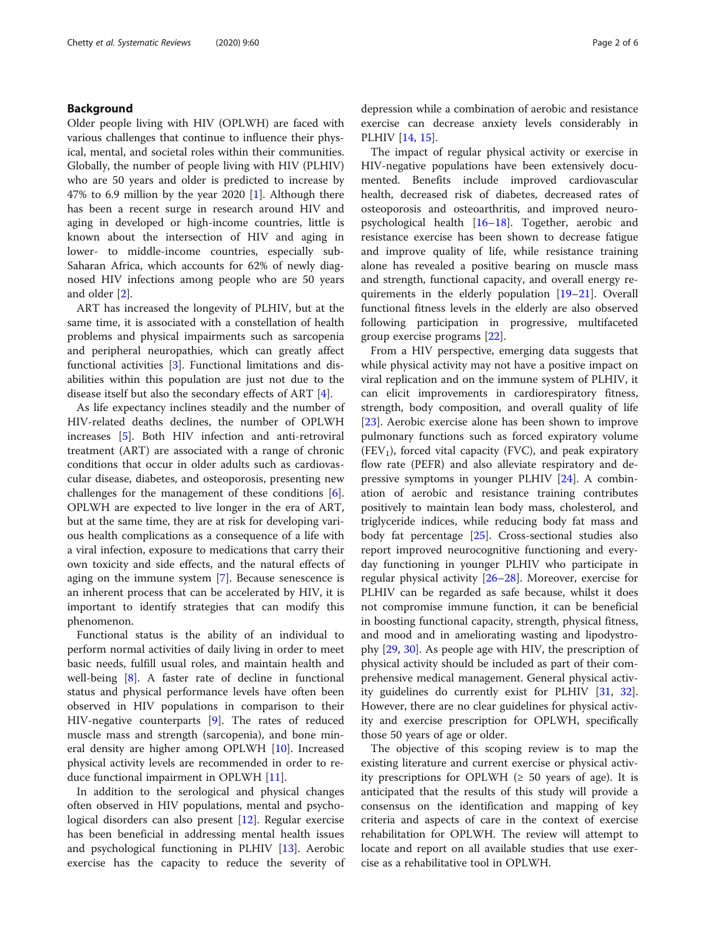# Background

Older people living with HIV (OPLWH) are faced with various challenges that continue to influence their physical, mental, and societal roles within their communities. Globally, the number of people living with HIV (PLHIV) who are 50 years and older is predicted to increase by 47% to 6.9 million by the year 2020 [[1\]](#page-4-0). Although there has been a recent surge in research around HIV and aging in developed or high-income countries, little is known about the intersection of HIV and aging in lower- to middle-income countries, especially sub-Saharan Africa, which accounts for 62% of newly diagnosed HIV infections among people who are 50 years and older [[2\]](#page-4-0).

ART has increased the longevity of PLHIV, but at the same time, it is associated with a constellation of health problems and physical impairments such as sarcopenia and peripheral neuropathies, which can greatly affect functional activities [\[3](#page-4-0)]. Functional limitations and disabilities within this population are just not due to the disease itself but also the secondary effects of ART [[4\]](#page-4-0).

As life expectancy inclines steadily and the number of HIV-related deaths declines, the number of OPLWH increases [\[5](#page-4-0)]. Both HIV infection and anti-retroviral treatment (ART) are associated with a range of chronic conditions that occur in older adults such as cardiovascular disease, diabetes, and osteoporosis, presenting new challenges for the management of these conditions [\[6](#page-4-0)]. OPLWH are expected to live longer in the era of ART, but at the same time, they are at risk for developing various health complications as a consequence of a life with a viral infection, exposure to medications that carry their own toxicity and side effects, and the natural effects of aging on the immune system [\[7](#page-4-0)]. Because senescence is an inherent process that can be accelerated by HIV, it is important to identify strategies that can modify this phenomenon.

Functional status is the ability of an individual to perform normal activities of daily living in order to meet basic needs, fulfill usual roles, and maintain health and well-being [[8\]](#page-4-0). A faster rate of decline in functional status and physical performance levels have often been observed in HIV populations in comparison to their HIV-negative counterparts [[9\]](#page-4-0). The rates of reduced muscle mass and strength (sarcopenia), and bone mineral density are higher among OPLWH [\[10\]](#page-4-0). Increased physical activity levels are recommended in order to reduce functional impairment in OPLWH [\[11\]](#page-4-0).

In addition to the serological and physical changes often observed in HIV populations, mental and psychological disorders can also present [[12\]](#page-4-0). Regular exercise has been beneficial in addressing mental health issues and psychological functioning in PLHIV [\[13\]](#page-4-0). Aerobic exercise has the capacity to reduce the severity of

depression while a combination of aerobic and resistance exercise can decrease anxiety levels considerably in PLHIV [\[14](#page-4-0), [15](#page-4-0)].

The impact of regular physical activity or exercise in HIV-negative populations have been extensively documented. Benefits include improved cardiovascular health, decreased risk of diabetes, decreased rates of osteoporosis and osteoarthritis, and improved neuropsychological health [[16](#page-4-0)–[18\]](#page-4-0). Together, aerobic and resistance exercise has been shown to decrease fatigue and improve quality of life, while resistance training alone has revealed a positive bearing on muscle mass and strength, functional capacity, and overall energy requirements in the elderly population [[19](#page-4-0)–[21](#page-4-0)]. Overall functional fitness levels in the elderly are also observed following participation in progressive, multifaceted group exercise programs [[22\]](#page-4-0).

From a HIV perspective, emerging data suggests that while physical activity may not have a positive impact on viral replication and on the immune system of PLHIV, it can elicit improvements in cardiorespiratory fitness, strength, body composition, and overall quality of life [[23\]](#page-4-0). Aerobic exercise alone has been shown to improve pulmonary functions such as forced expiratory volume  $(FEV<sub>1</sub>)$ , forced vital capacity (FVC), and peak expiratory flow rate (PEFR) and also alleviate respiratory and depressive symptoms in younger PLHIV [\[24](#page-4-0)]. A combination of aerobic and resistance training contributes positively to maintain lean body mass, cholesterol, and triglyceride indices, while reducing body fat mass and body fat percentage [[25](#page-4-0)]. Cross-sectional studies also report improved neurocognitive functioning and everyday functioning in younger PLHIV who participate in regular physical activity  $[26-28]$  $[26-28]$  $[26-28]$  $[26-28]$ . Moreover, exercise for PLHIV can be regarded as safe because, whilst it does not compromise immune function, it can be beneficial in boosting functional capacity, strength, physical fitness, and mood and in ameliorating wasting and lipodystrophy [[29,](#page-4-0) [30\]](#page-4-0). As people age with HIV, the prescription of physical activity should be included as part of their comprehensive medical management. General physical activity guidelines do currently exist for PLHIV [[31,](#page-5-0) [32](#page-5-0)]. However, there are no clear guidelines for physical activity and exercise prescription for OPLWH, specifically those 50 years of age or older.

The objective of this scoping review is to map the existing literature and current exercise or physical activity prescriptions for OPLWH ( $\geq$  50 years of age). It is anticipated that the results of this study will provide a consensus on the identification and mapping of key criteria and aspects of care in the context of exercise rehabilitation for OPLWH. The review will attempt to locate and report on all available studies that use exercise as a rehabilitative tool in OPLWH.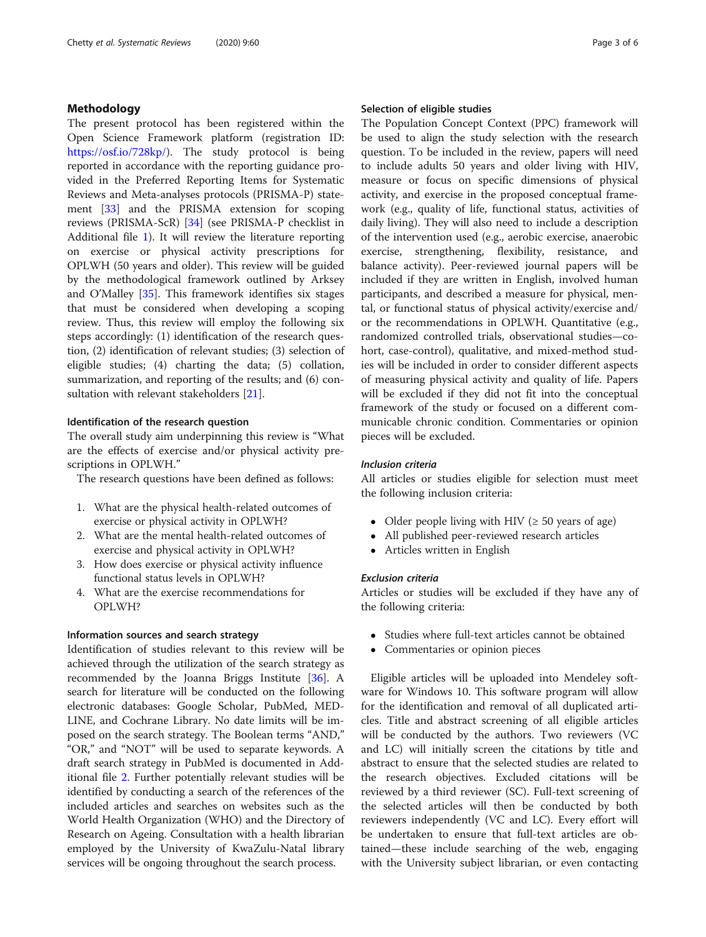# Methodology

The present protocol has been registered within the Open Science Framework platform (registration ID: <https://osf.io/728kp/>). The study protocol is being reported in accordance with the reporting guidance provided in the Preferred Reporting Items for Systematic Reviews and Meta-analyses protocols (PRISMA-P) statement [\[33](#page-5-0)] and the PRISMA extension for scoping reviews (PRISMA-ScR) [[34](#page-5-0)] (see PRISMA-P checklist in Additional file [1](#page-4-0)). It will review the literature reporting on exercise or physical activity prescriptions for OPLWH (50 years and older). This review will be guided by the methodological framework outlined by Arksey and O'Malley [\[35\]](#page-5-0). This framework identifies six stages that must be considered when developing a scoping review. Thus, this review will employ the following six steps accordingly: (1) identification of the research question, (2) identification of relevant studies; (3) selection of eligible studies; (4) charting the data; (5) collation, summarization, and reporting of the results; and (6) con-sultation with relevant stakeholders [\[21](#page-4-0)].

# Identification of the research question

The overall study aim underpinning this review is "What are the effects of exercise and/or physical activity prescriptions in OPLWH."

The research questions have been defined as follows:

- 1. What are the physical health-related outcomes of exercise or physical activity in OPLWH?
- 2. What are the mental health-related outcomes of exercise and physical activity in OPLWH?
- 3. How does exercise or physical activity influence functional status levels in OPLWH?
- 4. What are the exercise recommendations for OPLWH?

# Information sources and search strategy

Identification of studies relevant to this review will be achieved through the utilization of the search strategy as recommended by the Joanna Briggs Institute [[36\]](#page-5-0). A search for literature will be conducted on the following electronic databases: Google Scholar, PubMed, MED-LINE, and Cochrane Library. No date limits will be imposed on the search strategy. The Boolean terms "AND," "OR," and "NOT" will be used to separate keywords. A draft search strategy in PubMed is documented in Additional file [2](#page-4-0). Further potentially relevant studies will be identified by conducting a search of the references of the included articles and searches on websites such as the World Health Organization (WHO) and the Directory of Research on Ageing. Consultation with a health librarian employed by the University of KwaZulu-Natal library services will be ongoing throughout the search process.

# Selection of eligible studies

The Population Concept Context (PPC) framework will be used to align the study selection with the research question. To be included in the review, papers will need to include adults 50 years and older living with HIV, measure or focus on specific dimensions of physical activity, and exercise in the proposed conceptual framework (e.g., quality of life, functional status, activities of daily living). They will also need to include a description of the intervention used (e.g., aerobic exercise, anaerobic exercise, strengthening, flexibility, resistance, and balance activity). Peer-reviewed journal papers will be included if they are written in English, involved human participants, and described a measure for physical, mental, or functional status of physical activity/exercise and/ or the recommendations in OPLWH. Quantitative (e.g., randomized controlled trials, observational studies—cohort, case-control), qualitative, and mixed-method studies will be included in order to consider different aspects of measuring physical activity and quality of life. Papers will be excluded if they did not fit into the conceptual framework of the study or focused on a different communicable chronic condition. Commentaries or opinion pieces will be excluded.

# Inclusion criteria

All articles or studies eligible for selection must meet the following inclusion criteria:

- Older people living with HIV ( $\geq$  50 years of age)
- All published peer-reviewed research articles<br>• Articles written in English
- Articles written in English

# Exclusion criteria

Articles or studies will be excluded if they have any of the following criteria:

- Studies where full-text articles cannot be obtained<br>• Commentaries or opinion pieces
- Commentaries or opinion pieces

Eligible articles will be uploaded into Mendeley software for Windows 10. This software program will allow for the identification and removal of all duplicated articles. Title and abstract screening of all eligible articles will be conducted by the authors. Two reviewers (VC and LC) will initially screen the citations by title and abstract to ensure that the selected studies are related to the research objectives. Excluded citations will be reviewed by a third reviewer (SC). Full-text screening of the selected articles will then be conducted by both reviewers independently (VC and LC). Every effort will be undertaken to ensure that full-text articles are obtained—these include searching of the web, engaging with the University subject librarian, or even contacting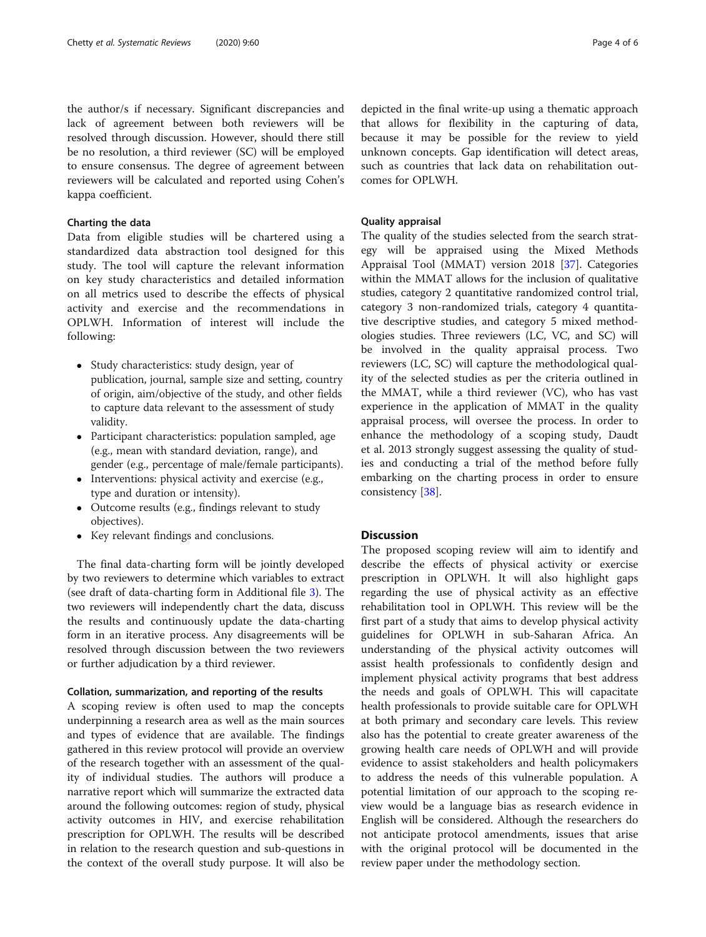the author/s if necessary. Significant discrepancies and lack of agreement between both reviewers will be resolved through discussion. However, should there still be no resolution, a third reviewer (SC) will be employed to ensure consensus. The degree of agreement between reviewers will be calculated and reported using Cohen's kappa coefficient.

# Charting the data

Data from eligible studies will be chartered using a standardized data abstraction tool designed for this study. The tool will capture the relevant information on key study characteristics and detailed information on all metrics used to describe the effects of physical activity and exercise and the recommendations in OPLWH. Information of interest will include the following:

- Study characteristics: study design, year of publication, journal, sample size and setting, country of origin, aim/objective of the study, and other fields to capture data relevant to the assessment of study validity.
- Participant characteristics: population sampled, age (e.g., mean with standard deviation, range), and gender (e.g., percentage of male/female participants).
- Interventions: physical activity and exercise (e.g., type and duration or intensity).
- Outcome results (e.g., findings relevant to study objectives).
- Key relevant findings and conclusions.

The final data-charting form will be jointly developed by two reviewers to determine which variables to extract (see draft of data-charting form in Additional file [3](#page-4-0)). The two reviewers will independently chart the data, discuss the results and continuously update the data-charting form in an iterative process. Any disagreements will be resolved through discussion between the two reviewers or further adjudication by a third reviewer.

# Collation, summarization, and reporting of the results

A scoping review is often used to map the concepts underpinning a research area as well as the main sources and types of evidence that are available. The findings gathered in this review protocol will provide an overview of the research together with an assessment of the quality of individual studies. The authors will produce a narrative report which will summarize the extracted data around the following outcomes: region of study, physical activity outcomes in HIV, and exercise rehabilitation prescription for OPLWH. The results will be described in relation to the research question and sub-questions in the context of the overall study purpose. It will also be

depicted in the final write-up using a thematic approach that allows for flexibility in the capturing of data, because it may be possible for the review to yield unknown concepts. Gap identification will detect areas, such as countries that lack data on rehabilitation outcomes for OPLWH.

# Quality appraisal

The quality of the studies selected from the search strategy will be appraised using the Mixed Methods Appraisal Tool (MMAT) version 2018 [[37\]](#page-5-0). Categories within the MMAT allows for the inclusion of qualitative studies, category 2 quantitative randomized control trial, category 3 non-randomized trials, category 4 quantitative descriptive studies, and category 5 mixed methodologies studies. Three reviewers (LC, VC, and SC) will be involved in the quality appraisal process. Two reviewers (LC, SC) will capture the methodological quality of the selected studies as per the criteria outlined in the MMAT, while a third reviewer (VC), who has vast experience in the application of MMAT in the quality appraisal process, will oversee the process. In order to enhance the methodology of a scoping study, Daudt et al. 2013 strongly suggest assessing the quality of studies and conducting a trial of the method before fully embarking on the charting process in order to ensure consistency [[38](#page-5-0)].

# Discussion

The proposed scoping review will aim to identify and describe the effects of physical activity or exercise prescription in OPLWH. It will also highlight gaps regarding the use of physical activity as an effective rehabilitation tool in OPLWH. This review will be the first part of a study that aims to develop physical activity guidelines for OPLWH in sub-Saharan Africa. An understanding of the physical activity outcomes will assist health professionals to confidently design and implement physical activity programs that best address the needs and goals of OPLWH. This will capacitate health professionals to provide suitable care for OPLWH at both primary and secondary care levels. This review also has the potential to create greater awareness of the growing health care needs of OPLWH and will provide evidence to assist stakeholders and health policymakers to address the needs of this vulnerable population. A potential limitation of our approach to the scoping review would be a language bias as research evidence in English will be considered. Although the researchers do not anticipate protocol amendments, issues that arise with the original protocol will be documented in the review paper under the methodology section.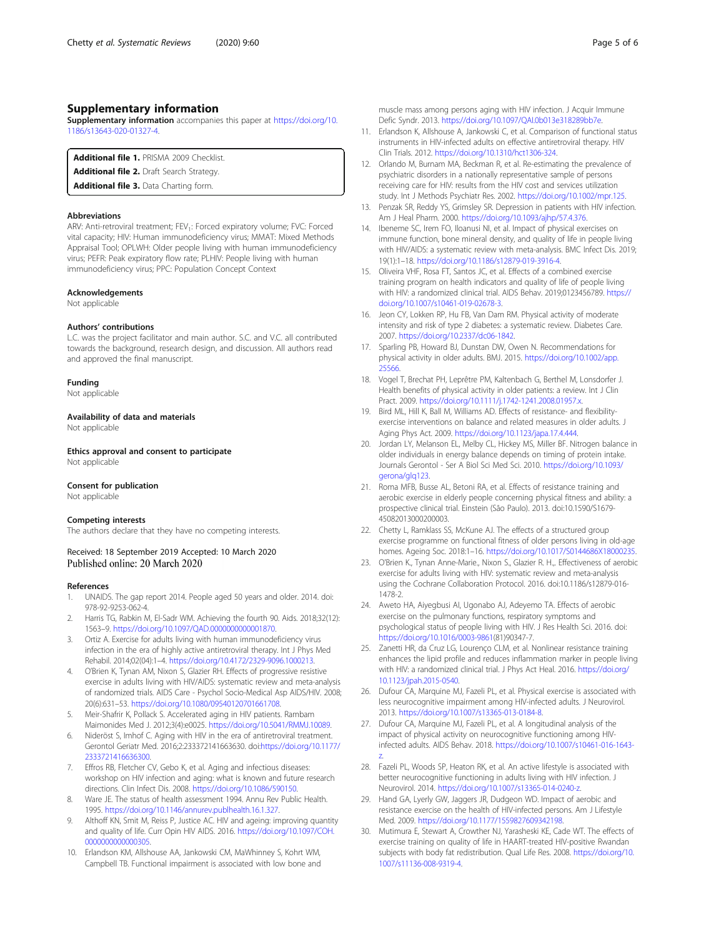# <span id="page-4-0"></span>Supplementary information

Supplementary information accompanies this paper at [https://doi.org/10.](https://doi.org/10.1186/s13643-020-01327-4) [1186/s13643-020-01327-4](https://doi.org/10.1186/s13643-020-01327-4).

Additional file 1. PRISMA 2009 Checklist.

Additional file 2. Draft Search Strategy

Additional file 3. Data Charting form.

#### Abbreviations

ARV: Anti-retroviral treatment; FEV<sub>1</sub>: Forced expiratory volume; FVC: Forced vital capacity; HIV: Human immunodeficiency virus; MMAT: Mixed Methods Appraisal Tool; OPLWH: Older people living with human immunodeficiency virus; PEFR: Peak expiratory flow rate; PLHIV: People living with human immunodeficiency virus; PPC: Population Concept Context

#### Acknowledgements

Not applicable

#### Authors' contributions

L.C. was the project facilitator and main author. S.C. and V.C. all contributed towards the background, research design, and discussion. All authors read and approved the final manuscript.

## Funding

Not applicable

Availability of data and materials Not applicable

Ethics approval and consent to participate Not applicable

# Consent for publication

Not applicable

#### Competing interests

The authors declare that they have no competing interests.

Received: 18 September 2019 Accepted: 10 March 2020 Published online: 20 March 2020

## References

- 1. UNAIDS. The gap report 2014. People aged 50 years and older. 2014. doi: 978-92-9253-062-4.
- Harris TG, Rabkin M, El-Sadr WM. Achieving the fourth 90. Aids. 2018;32(12): 1563–9. <https://doi.org/10.1097/QAD.0000000000001870>.
- 3. Ortiz A. Exercise for adults living with human immunodeficiency virus infection in the era of highly active antiretroviral therapy. Int J Phys Med Rehabil. 2014;02(04):1–4. [https://doi.org/10.4172/2329-9096.1000213.](https://doi.org/10.4172/2329-9096.1000213)
- 4. O'Brien K, Tynan AM, Nixon S, Glazier RH. Effects of progressive resistive exercise in adults living with HIV/AIDS: systematic review and meta-analysis of randomized trials. AIDS Care - Psychol Socio-Medical Asp AIDS/HIV. 2008; 20(6):631–53. <https://doi.org/10.1080/09540120701661708>.
- 5. Meir-Shafrir K, Pollack S. Accelerated aging in HIV patients. Rambam Maimonides Med J. 2012;3(4):e0025. [https://doi.org/10.5041/RMMJ.10089.](https://doi.org/10.5041/RMMJ.10089)
- 6. Nideröst S, Imhof C. Aging with HIV in the era of antiretroviral treatment. Gerontol Geriatr Med. 2016;2:233372141663630. doi:[https://doi.org/10.1177/](https://doi.org/10.1177/2333721416636300) [2333721416636300](https://doi.org/10.1177/2333721416636300).
- 7. Effros RB, Fletcher CV, Gebo K, et al. Aging and infectious diseases: workshop on HIV infection and aging: what is known and future research directions. Clin Infect Dis. 2008. <https://doi.org/10.1086/590150>.
- 8. Ware JE. The status of health assessment 1994. Annu Rev Public Health. 1995. [https://doi.org/10.1146/annurev.publhealth.16.1.327.](https://doi.org/10.1146/annurev.publhealth.16.1.327)
- Althoff KN, Smit M, Reiss P, Justice AC. HIV and ageing: improving quantity and quality of life. Curr Opin HIV AIDS. 2016. [https://doi.org/10.1097/COH.](https://doi.org/10.1097/COH.0000000000000305) [0000000000000305](https://doi.org/10.1097/COH.0000000000000305).
- 10. Erlandson KM, Allshouse AA, Jankowski CM, MaWhinney S, Kohrt WM, Campbell TB. Functional impairment is associated with low bone and

muscle mass among persons aging with HIV infection. J Acquir Immune Defic Syndr. 2013. <https://doi.org/10.1097/QAI.0b013e318289bb7e>.

- 11. Erlandson K, Allshouse A, Jankowski C, et al. Comparison of functional status instruments in HIV-infected adults on effective antiretroviral therapy. HIV Clin Trials. 2012. <https://doi.org/10.1310/hct1306-324>.
- 12. Orlando M, Burnam MA, Beckman R, et al. Re-estimating the prevalence of psychiatric disorders in a nationally representative sample of persons receiving care for HIV: results from the HIV cost and services utilization study. Int J Methods Psychiatr Res. 2002. <https://doi.org/10.1002/mpr.125>.
- 13. Penzak SR, Reddy YS, Grimsley SR. Depression in patients with HIV infection. Am J Heal Pharm. 2000. [https://doi.org/10.1093/ajhp/57.4.376.](https://doi.org/10.1093/ajhp/57.4.376)
- 14. Ibeneme SC, Irem FO, Iloanusi NI, et al. Impact of physical exercises on immune function, bone mineral density, and quality of life in people living with HIV/AIDS: a systematic review with meta-analysis. BMC Infect Dis. 2019; 19(1):1–18. <https://doi.org/10.1186/s12879-019-3916-4>.
- 15. Oliveira VHF, Rosa FT, Santos JC, et al. Effects of a combined exercise training program on health indicators and quality of life of people living with HIV: a randomized clinical trial. AIDS Behav. 2019;0123456789. [https://](https://doi.org/10.1007/s10461-019-02678-3) [doi.org/10.1007/s10461-019-02678-3.](https://doi.org/10.1007/s10461-019-02678-3)
- 16. Jeon CY, Lokken RP, Hu FB, Van Dam RM. Physical activity of moderate intensity and risk of type 2 diabetes: a systematic review. Diabetes Care. 2007. <https://doi.org/10.2337/dc06-1842>.
- 17. Sparling PB, Howard BJ, Dunstan DW, Owen N. Recommendations for physical activity in older adults. BMJ. 2015. [https://doi.org/10.1002/app.](https://doi.org/10.1002/app.25566) [25566.](https://doi.org/10.1002/app.25566)
- 18. Vogel T, Brechat PH, Leprêtre PM, Kaltenbach G, Berthel M, Lonsdorfer J. Health benefits of physical activity in older patients: a review. Int J Clin Pract. 2009. [https://doi.org/10.1111/j.1742-1241.2008.01957.x.](https://doi.org/10.1111/j.1742-1241.2008.01957.x)
- 19. Bird ML, Hill K, Ball M, Williams AD. Effects of resistance- and flexibilityexercise interventions on balance and related measures in older adults. J Aging Phys Act. 2009. [https://doi.org/10.1123/japa.17.4.444.](https://doi.org/10.1123/japa.17.4.444)
- 20. Jordan LY, Melanson EL, Melby CL, Hickey MS, Miller BF. Nitrogen balance in older individuals in energy balance depends on timing of protein intake. Journals Gerontol - Ser A Biol Sci Med Sci. 2010. [https://doi.org/10.1093/](https://doi.org/10.1093/gerona/glq123) [gerona/glq123.](https://doi.org/10.1093/gerona/glq123)
- 21. Roma MFB, Busse AL, Betoni RA, et al. Effects of resistance training and aerobic exercise in elderly people concerning physical fitness and ability: a prospective clinical trial. Einstein (São Paulo). 2013. doi:10.1590/S1679- 45082013000200003.
- 22. Chetty L, Ramklass SS, McKune AJ. The effects of a structured group exercise programme on functional fitness of older persons living in old-age homes. Ageing Soc. 2018:1–16. <https://doi.org/10.1017/S0144686X18000235>.
- 23. O'Brien K., Tynan Anne-Marie., Nixon S., Glazier R. H.,. Effectiveness of aerobic exercise for adults living with HIV: systematic review and meta-analysis using the Cochrane Collaboration Protocol. 2016. doi:10.1186/s12879-016- 1478-2.
- 24. Aweto HA, Aiyegbusi AI, Ugonabo AJ, Adeyemo TA. Effects of aerobic exercise on the pulmonary functions, respiratory symptoms and psychological status of people living with HIV. J Res Health Sci. 2016. doi: <https://doi.org/10.1016/0003-9861>(81)90347-7.
- 25. Zanetti HR, da Cruz LG, Lourenço CLM, et al. Nonlinear resistance training enhances the lipid profile and reduces inflammation marker in people living with HIV: a randomized clinical trial. J Phys Act Heal. 2016. [https://doi.org/](https://doi.org/10.1123/jpah.2015-0540) [10.1123/jpah.2015-0540.](https://doi.org/10.1123/jpah.2015-0540)
- 26. Dufour CA, Marquine MJ, Fazeli PL, et al. Physical exercise is associated with less neurocognitive impairment among HIV-infected adults. J Neurovirol. 2013. <https://doi.org/10.1007/s13365-013-0184-8>.
- 27. Dufour CA, Marquine MJ, Fazeli PL, et al. A longitudinal analysis of the impact of physical activity on neurocognitive functioning among HIVinfected adults. AIDS Behav. 2018. [https://doi.org/10.1007/s10461-016-1643](https://doi.org/10.1007/s10461-016-1643-z) [z.](https://doi.org/10.1007/s10461-016-1643-z)
- 28. Fazeli PL, Woods SP, Heaton RK, et al. An active lifestyle is associated with better neurocognitive functioning in adults living with HIV infection. J Neurovirol. 2014. <https://doi.org/10.1007/s13365-014-0240-z>.
- 29. Hand GA, Lyerly GW, Jaggers JR, Dudgeon WD. Impact of aerobic and resistance exercise on the health of HIV-infected persons. Am J Lifestyle Med. 2009. [https://doi.org/10.1177/1559827609342198.](https://doi.org/10.1177/1559827609342198)
- 30. Mutimura E, Stewart A, Crowther NJ, Yarasheski KE, Cade WT. The effects of exercise training on quality of life in HAART-treated HIV-positive Rwandan subjects with body fat redistribution. Qual Life Res. 2008. [https://doi.org/10.](https://doi.org/10.1007/s11136-008-9319-4) [1007/s11136-008-9319-4](https://doi.org/10.1007/s11136-008-9319-4).